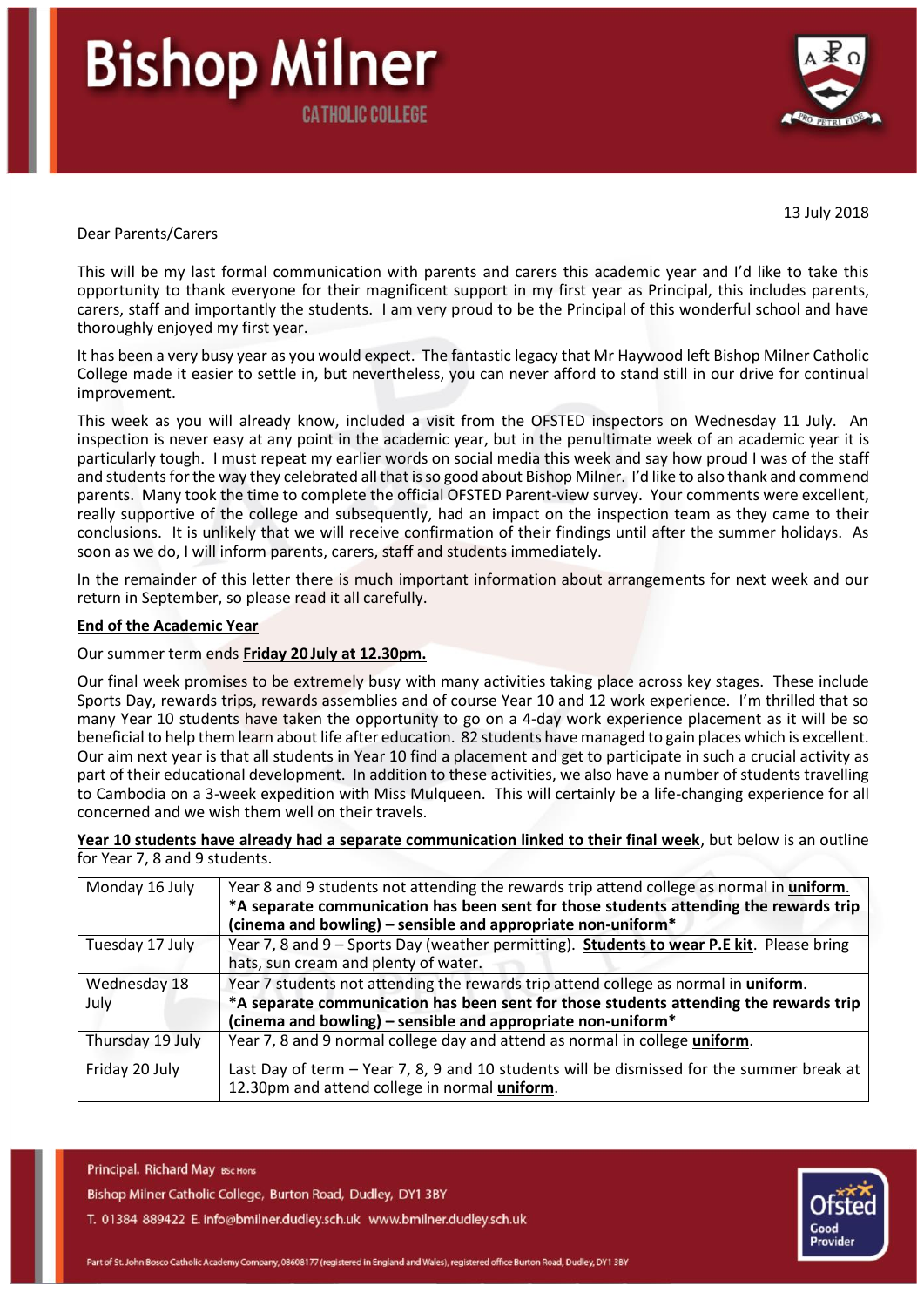# **Bishop Milner CATHOLIC COLLEGE**



13 July 2018

#### Dear Parents/Carers

This will be my last formal communication with parents and carers this academic year and I'd like to take this opportunity to thank everyone for their magnificent support in my first year as Principal, this includes parents, carers, staff and importantly the students. I am very proud to be the Principal of this wonderful school and have thoroughly enjoyed my first year.

It has been a very busy year as you would expect. The fantastic legacy that Mr Haywood left Bishop Milner Catholic College made it easier to settle in, but nevertheless, you can never afford to stand still in our drive for continual improvement.

This week as you will already know, included a visit from the OFSTED inspectors on Wednesday 11 July. An inspection is never easy at any point in the academic year, but in the penultimate week of an academic year it is particularly tough. I must repeat my earlier words on social media this week and say how proud I was of the staff and students for the way they celebrated all that is so good about Bishop Milner. I'd like to also thank and commend parents. Many took the time to complete the official OFSTED Parent-view survey. Your comments were excellent, really supportive of the college and subsequently, had an impact on the inspection team as they came to their conclusions. It is unlikely that we will receive confirmation of their findings until after the summer holidays. As soon as we do, I will inform parents, carers, staff and students immediately.

In the remainder of this letter there is much important information about arrangements for next week and our return in September, so please read it all carefully.

#### **End of the Academic Year**

#### Our summer term ends **Friday 20 July at 12.30pm.**

Our final week promises to be extremely busy with many activities taking place across key stages. These include Sports Day, rewards trips, rewards assemblies and of course Year 10 and 12 work experience. I'm thrilled that so many Year 10 students have taken the opportunity to go on a 4-day work experience placement as it will be so beneficial to help them learn about life after education. 82 students have managed to gain places which is excellent. Our aim next year is that all students in Year 10 find a placement and get to participate in such a crucial activity as part of their educational development. In addition to these activities, we also have a number of students travelling to Cambodia on a 3-week expedition with Miss Mulqueen. This will certainly be a life-changing experience for all concerned and we wish them well on their travels.

**Year 10 students have already had a separate communication linked to their final week**, but below is an outline for Year 7, 8 and 9 students.

| Monday 16 July   | Year 8 and 9 students not attending the rewards trip attend college as normal in uniform.<br>*A separate communication has been sent for those students attending the rewards trip<br>(cinema and bowling) – sensible and appropriate non-uniform* |
|------------------|----------------------------------------------------------------------------------------------------------------------------------------------------------------------------------------------------------------------------------------------------|
| Tuesday 17 July  | Year 7, 8 and 9 - Sports Day (weather permitting). Students to wear P.E kit. Please bring                                                                                                                                                          |
|                  | hats, sun cream and plenty of water.                                                                                                                                                                                                               |
| Wednesday 18     | Year 7 students not attending the rewards trip attend college as normal in uniform.                                                                                                                                                                |
| July             | *A separate communication has been sent for those students attending the rewards trip                                                                                                                                                              |
|                  | (cinema and bowling) – sensible and appropriate non-uniform $*$                                                                                                                                                                                    |
| Thursday 19 July | Year 7, 8 and 9 normal college day and attend as normal in college uniform.                                                                                                                                                                        |
| Friday 20 July   | Last Day of term - Year 7, 8, 9 and 10 students will be dismissed for the summer break at                                                                                                                                                          |
|                  | 12.30pm and attend college in normal uniform.                                                                                                                                                                                                      |

Principal. Richard May BSc Hons

Bishop Milner Catholic College, Burton Road, Dudley, DY1 3BY

T. 01384 889422 E. info@bmilner.dudley.sch.uk www.bmilner.dudley.sch.uk

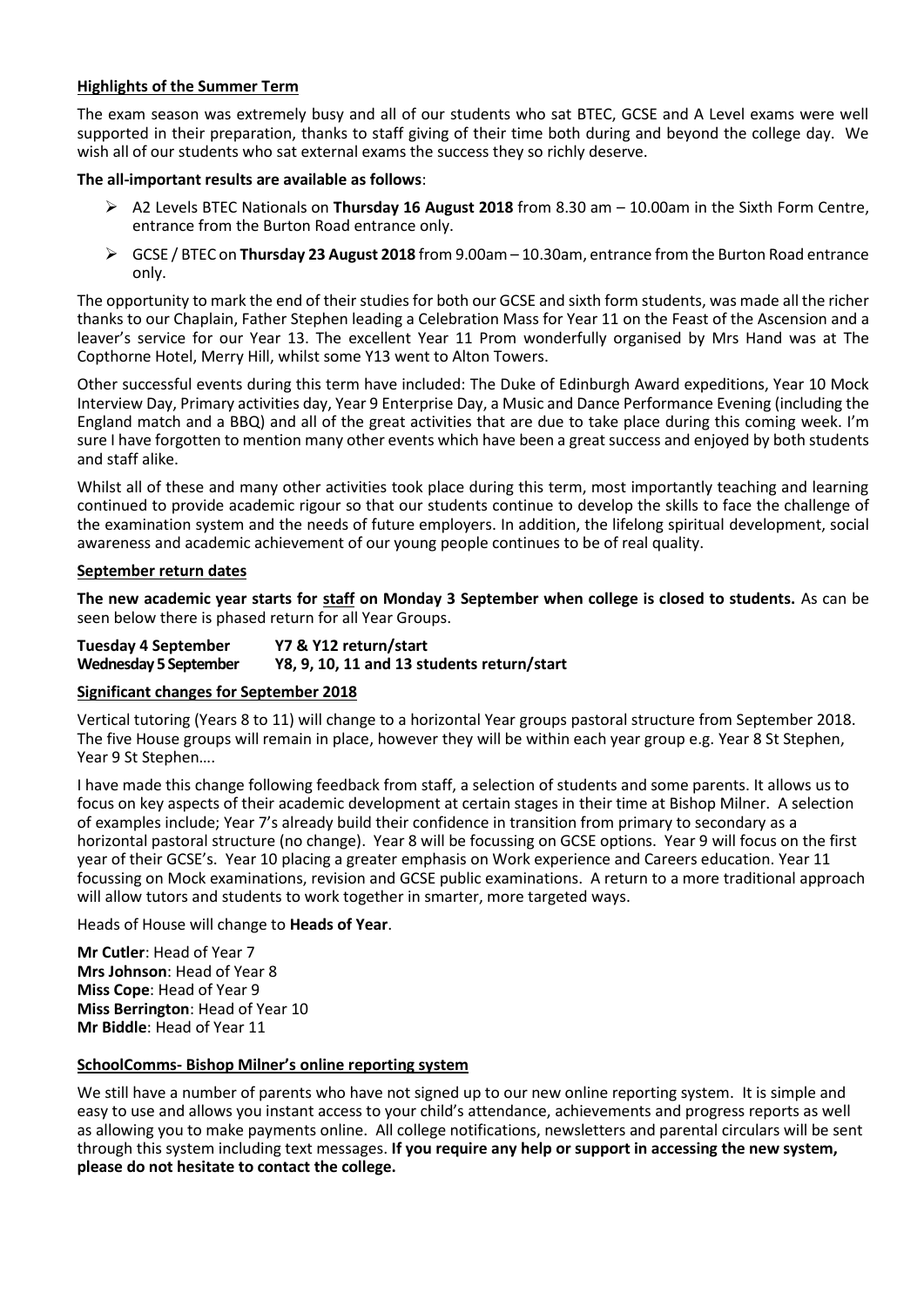## **Highlights of the Summer Term**

The exam season was extremely busy and all of our students who sat BTEC, GCSE and A Level exams were well supported in their preparation, thanks to staff giving of their time both during and beyond the college day. We wish all of our students who sat external exams the success they so richly deserve.

## **The all-important results are available as follows**:

- A2 Levels BTEC Nationals on **Thursday 16 August 2018** from 8.30 am 10.00am in the Sixth Form Centre, entrance from the Burton Road entrance only.
- GCSE / BTEC on **Thursday 23 August 2018** from 9.00am 10.30am, entrance from the Burton Road entrance only.

The opportunity to mark the end of their studies for both our GCSE and sixth form students, was made all the richer thanks to our Chaplain, Father Stephen leading a Celebration Mass for Year 11 on the Feast of the Ascension and a leaver's service for our Year 13. The excellent Year 11 Prom wonderfully organised by Mrs Hand was at The Copthorne Hotel, Merry Hill, whilst some Y13 went to Alton Towers.

Other successful events during this term have included: The Duke of Edinburgh Award expeditions, Year 10 Mock Interview Day, Primary activities day, Year 9 Enterprise Day, a Music and Dance Performance Evening (including the England match and a BBQ) and all of the great activities that are due to take place during this coming week. I'm sure I have forgotten to mention many other events which have been a great success and enjoyed by both students and staff alike.

Whilst all of these and many other activities took place during this term, most importantly teaching and learning continued to provide academic rigour so that our students continue to develop the skills to face the challenge of the examination system and the needs of future employers. In addition, the lifelong spiritual development, social awareness and academic achievement of our young people continues to be of real quality.

## **September return dates**

**The new academic year starts for staff on Monday 3 September when college is closed to students.** As can be seen below there is phased return for all Year Groups.

| <b>Tuesday 4 September</b>   | Y7 & Y12 return/start                      |
|------------------------------|--------------------------------------------|
| <b>Wednesday 5 September</b> | Y8, 9, 10, 11 and 13 students return/start |

# **Significant changes for September 2018**

Vertical tutoring (Years 8 to 11) will change to a horizontal Year groups pastoral structure from September 2018. The five House groups will remain in place, however they will be within each year group e.g. Year 8 St Stephen, Year 9 St Stephen….

I have made this change following feedback from staff, a selection of students and some parents. It allows us to focus on key aspects of their academic development at certain stages in their time at Bishop Milner. A selection of examples include; Year 7's already build their confidence in transition from primary to secondary as a horizontal pastoral structure (no change). Year 8 will be focussing on GCSE options. Year 9 will focus on the first year of their GCSE's. Year 10 placing a greater emphasis on Work experience and Careers education. Year 11 focussing on Mock examinations, revision and GCSE public examinations. A return to a more traditional approach will allow tutors and students to work together in smarter, more targeted ways.

## Heads of House will change to **Heads of Year**.

**Mr Cutler**: Head of Year 7 **Mrs Johnson**: Head of Year 8 **Miss Cope**: Head of Year 9 **Miss Berrington**: Head of Year 10 **Mr Biddle**: Head of Year 11

# **SchoolComms- Bishop Milner's online reporting system**

We still have a number of parents who have not signed up to our new online reporting system. It is simple and easy to use and allows you instant access to your child's attendance, achievements and progress reports as well as allowing you to make payments online. All college notifications, newsletters and parental circulars will be sent through this system including text messages. **If you require any help or support in accessing the new system, please do not hesitate to contact the college.**